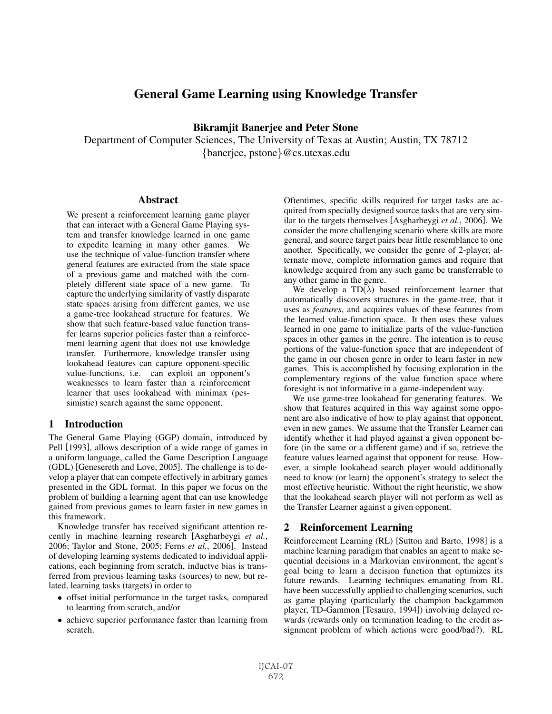# General Game Learning using Knowledge Transfer

Bikramjit Banerjee and Peter Stone

Department of Computer Sciences, The University of Texas at Austin; Austin, TX 78712 {banerjee, pstone}@cs.utexas.edu

## **Abstract**

We present a reinforcement learning game player that can interact with a General Game Playing system and transfer knowledge learned in one game to expedite learning in many other games. We use the technique of value-function transfer where general features are extracted from the state space of a previous game and matched with the completely different state space of a new game. To capture the underlying similarity of vastly disparate state spaces arising from different games, we use a game-tree lookahead structure for features. We show that such feature-based value function transfer learns superior policies faster than a reinforcement learning agent that does not use knowledge transfer. Furthermore, knowledge transfer using lookahead features can capture opponent-specific value-functions, i.e. can exploit an opponent's weaknesses to learn faster than a reinforcement learner that uses lookahead with minimax (pessimistic) search against the same opponent.

## 1 Introduction

The General Game Playing (GGP) domain, introduced by Pell [1993], allows description of a wide range of games in a uniform language, called the Game Description Language (GDL) [Genesereth and Love, 2005]. The challenge is to develop a player that can compete effectively in arbitrary games presented in the GDL format. In this paper we focus on the problem of building a learning agent that can use knowledge gained from previous games to learn faster in new games in this framework.

Knowledge transfer has received significant attention recently in machine learning research [Asgharbeygi *et al.*, 2006; Taylor and Stone, 2005; Ferns *et al.*, 2006]. Instead of developing learning systems dedicated to individual applications, each beginning from scratch, inductve bias is transferred from previous learning tasks (sources) to new, but related, learning tasks (targets) in order to

- offset initial performance in the target tasks, compared to learning from scratch, and/or
- achieve superior performance faster than learning from scratch.

Oftentimes, specific skills required for target tasks are acquired from specially designed source tasks that are very similar to the targets themselves [Asgharbeygi *et al.*, 2006]. We consider the more challenging scenario where skills are more general, and source target pairs bear little resemblance to one another. Specifically, we consider the genre of 2-player, alternate move, complete information games and require that knowledge acquired from any such game be transferrable to any other game in the genre.

We develop a  $TD(\lambda)$  based reinforcement learner that automatically discovers structures in the game-tree, that it uses as *features*, and acquires values of these features from the learned value-function space. It then uses these values learned in one game to initialize parts of the value-function spaces in other games in the genre. The intention is to reuse portions of the value-function space that are independent of the game in our chosen genre in order to learn faster in new games. This is accomplished by focusing exploration in the complementary regions of the value function space where foresight is not informative in a game-independent way.

We use game-tree lookahead for generating features. We show that features acquired in this way against some opponent are also indicative of how to play against that opponent, even in new games. We assume that the Transfer Learner can identify whether it had played against a given opponent before (in the same or a different game) and if so, retrieve the feature values learned against that opponent for reuse. However, a simple lookahead search player would additionally need to know (or learn) the opponent's strategy to select the most effective heuristic. Without the right heuristic, we show that the lookahead search player will not perform as well as the Transfer Learner against a given opponent.

## 2 Reinforcement Learning

Reinforcement Learning (RL) [Sutton and Barto, 1998] is a machine learning paradigm that enables an agent to make sequential decisions in a Markovian environment, the agent's goal being to learn a decision function that optimizes its future rewards. Learning techniques emanating from RL have been successfully applied to challenging scenarios, such as game playing (particularly the champion backgammon player, TD-Gammon [Tesauro, 1994]) involving delayed rewards (rewards only on termination leading to the credit assignment problem of which actions were good/bad?). RL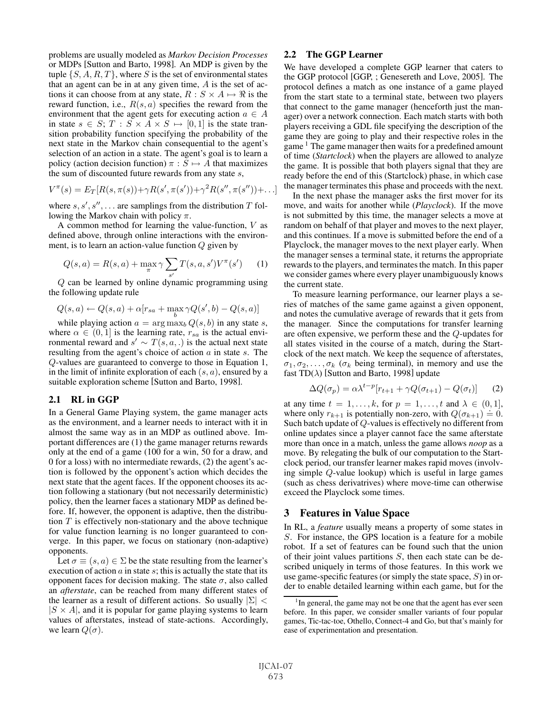problems are usually modeled as *Markov Decision Processes* or MDPs [Sutton and Barto, 1998]. An MDP is given by the tuple  $\{S, A, R, T\}$ , where S is the set of environmental states that an agent can be in at any given time, A is the set of actions it can choose from at any state,  $R : S \times A \mapsto \Re$  is the reward function i.e.  $R(s, a)$  specifies the reward from the reward function, i.e.,  $R(s, a)$  specifies the reward from the environment that the agent gets for executing action  $a \in A$ in state  $s \in S$ ;  $T : S \times A \times S \mapsto [0,1]$  is the state tran-<br>sition probability function specifying the probability of the sition probability function specifying the probability of the next state in the Markov chain consequential to the agent's selection of an action in a state. The agent's goal is to learn a policy (action decision function)  $\pi : S \mapsto A$  that maximizes the sum of discounted future rewards from any state s the sum of discounted future rewards from any state s,

$$
V^{\pi}(s) = E_T[R(s, \pi(s)) + \gamma R(s', \pi(s')) + \gamma^2 R(s'', \pi(s'')) + \ldots]
$$

where  $s, s', s'', \ldots$  are samplings from the distribution  $T$  following the Markov chain with policy  $\pi$ .

A common method for learning the value-function, V as defined above, through online interactions with the environment, is to learn an action-value function  $Q$  given by

$$
Q(s, a) = R(s, a) + \max_{\pi} \gamma \sum_{s'} T(s, a, s') V^{\pi}(s')
$$
 (1)

Q can be learned by online dynamic programming using the following update rule

$$
Q(s, a) \leftarrow Q(s, a) + \alpha [r_{sa} + \max_b \gamma Q(s', b) - Q(s, a)]
$$

while playing action  $a = \arg \max_b Q(s, b)$  in any state s, where  $\alpha \in (0,1]$  is the learning rate,  $r_{sa}$  is the actual environmental reward and  $s' \sim T(s, a, \cdot)$  is the actual next state<br>resulting from the agent's choice of action a in state s. The resulting from the agent's choice of action  $a$  in state  $s$ . The Q-values are guaranteed to converge to those in Equation 1, in the limit of infinite exploration of each  $(s, a)$ , ensured by a suitable exploration scheme [Sutton and Barto, 1998].

## 2.1 RL in GGP

In a General Game Playing system, the game manager acts as the environment, and a learner needs to interact with it in almost the same way as in an MDP as outlined above. Important differences are (1) the game manager returns rewards only at the end of a game (100 for a win, 50 for a draw, and 0 for a loss) with no intermediate rewards, (2) the agent's action is followed by the opponent's action which decides the next state that the agent faces. If the opponent chooses its action following a stationary (but not necessarily deterministic) policy, then the learner faces a stationary MDP as defined before. If, however, the opponent is adaptive, then the distribution  $T$  is effectively non-stationary and the above technique for value function learning is no longer guaranteed to converge. In this paper, we focus on stationary (non-adaptive) opponents.

Let  $\sigma \equiv (s, a) \in \Sigma$  be the state resulting from the learner's execution of action  $\alpha$  in state  $\beta$ ; this is actually the state that its opponent faces for decision making. The state  $\sigma$ , also called an *afterstate*, can be reached from many different states of the learner as a result of different actions. So usually  $|\Sigma|$  <  $|S \times A|$ , and it is popular for game playing systems to learn values of afterstates, instead of state-actions. Accordingly, we learn  $Q(\sigma)$ .

## 2.2 The GGP Learner

We have developed a complete GGP learner that caters to the GGP protocol [GGP, ; Genesereth and Love, 2005]. The protocol defines a match as one instance of a game played from the start state to a terminal state, between two players that connect to the game manager (henceforth just the manager) over a network connection. Each match starts with both players receiving a GDL file specifying the description of the game they are going to play and their respective roles in the game <sup>1</sup> The game manager then waits for a predefined amount of time (*Startclock*) when the players are allowed to analyze the game. It is possible that both players signal that they are ready before the end of this (Startclock) phase, in which case the manager terminates this phase and proceeds with the next.

In the next phase the manager asks the first mover for its move, and waits for another while (*Playclock*). If the move is not submitted by this time, the manager selects a move at random on behalf of that player and moves to the next player, and this continues. If a move is submitted before the end of a Playclock, the manager moves to the next player early. When the manager senses a terminal state, it returns the appropriate rewards to the players, and terminates the match. In this paper we consider games where every player unambiguously knows the current state.

To measure learning performance, our learner plays a series of matches of the same game against a given opponent, and notes the cumulative average of rewards that it gets from the manager. Since the computations for transfer learning are often expensive, we perform these and the Q-updates for all states visited in the course of a match, during the Startclock of the next match. We keep the sequence of afterstates,  $\sigma_1, \sigma_2, \ldots, \sigma_k$  ( $\sigma_k$  being terminal), in memory and use the fast TD( $\lambda$ ) [Sutton and Barto, 1998] update

$$
\Delta Q(\sigma_p) = \alpha \lambda^{t-p} [r_{t+1} + \gamma Q(\sigma_{t+1}) - Q(\sigma_t)] \tag{2}
$$

at any time  $t = 1, \ldots, k$ , for  $p = 1, \ldots, t$  and  $\lambda \in (0, 1]$ , where only  $r_{k+1}$  is potentially non-zero, with  $Q(\sigma_{k+1}) = 0$ .<br>Such batch undate of *O*-values is effectively no different from Such batch update of Q-values is effectively no different from online updates since a player cannot face the same afterstate more than once in a match, unless the game allows *noop* as a move. By relegating the bulk of our computation to the Startclock period, our transfer learner makes rapid moves (involving simple Q-value lookup) which is useful in large games (such as chess derivatrives) where move-time can otherwise exceed the Playclock some times.

## 3 Features in Value Space

In RL, a *feature* usually means a property of some states in S. For instance, the GPS location is a feature for a mobile robot. If a set of features can be found such that the union of their joint values partitions  $S$ , then each state can be described uniquely in terms of those features. In this work we use game-specific features (or simply the state space,  $S$ ) in order to enable detailed learning within each game, but for the

<sup>&</sup>lt;sup>1</sup>In general, the game may not be one that the agent has ever seen before. In this paper, we consider smaller variants of four popular games, Tic-tac-toe, Othello, Connect-4 and Go, but that's mainly for ease of experimentation and presentation.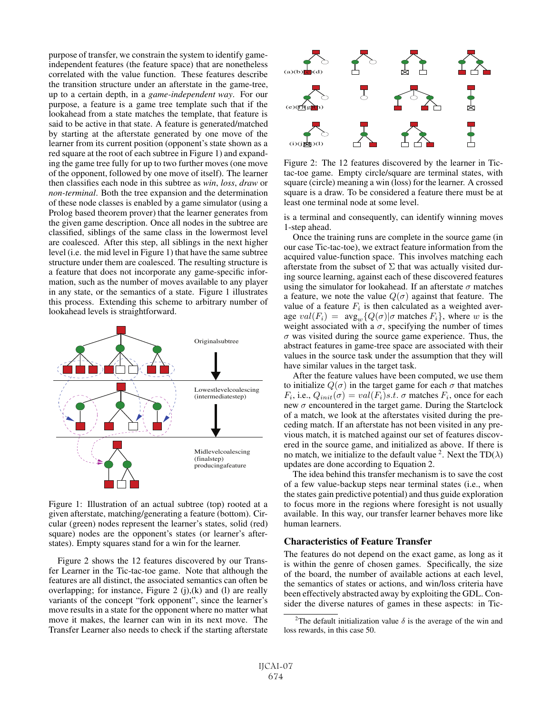purpose of transfer, we constrain the system to identify gameindependent features (the feature space) that are nonetheless correlated with the value function. These features describe the transition structure under an afterstate in the game-tree, up to a certain depth, in a *game-independent way*. For our purpose, a feature is a game tree template such that if the lookahead from a state matches the template, that feature is said to be active in that state. A feature is generated/matched by starting at the afterstate generated by one move of the learner from its current position (opponent's state shown as a red square at the root of each subtree in Figure 1) and expanding the game tree fully for up to two further moves (one move of the opponent, followed by one move of itself). The learner then classifies each node in this subtree as *win*, *loss*, *draw* or *non-terminal*. Both the tree expansion and the determination of these node classes is enabled by a game simulator (using a Prolog based theorem prover) that the learner generates from the given game description. Once all nodes in the subtree are classified, siblings of the same class in the lowermost level are coalesced. After this step, all siblings in the next higher level (i.e. the mid level in Figure 1) that have the same subtree structure under them are coalesced. The resulting structure is a feature that does not incorporate any game-specific information, such as the number of moves available to any player in any state, or the semantics of a state. Figure 1 illustrates this process. Extending this scheme to arbitrary number of lookahead levels is straightforward.



Figure 1: Illustration of an actual subtree (top) rooted at a given afterstate, matching/generating a feature (bottom). Circular (green) nodes represent the learner's states, solid (red) square) nodes are the opponent's states (or learner's afterstates). Empty squares stand for a win for the learner.

Figure 2 shows the 12 features discovered by our Transfer Learner in the Tic-tac-toe game. Note that although the features are all distinct, the associated semantics can often be overlapping; for instance, Figure 2  $(j)$ , $(k)$  and  $(l)$  are really variants of the concept "fork opponent", since the learner's move results in a state for the opponent where no matter what move it makes, the learner can win in its next move. The Transfer Learner also needs to check if the starting afterstate



Figure 2: The 12 features discovered by the learner in Tictac-toe game. Empty circle/square are terminal states, with square (circle) meaning a win (loss) for the learner. A crossed square is a draw. To be considered a feature there must be at least one terminal node at some level.

is a terminal and consequently, can identify winning moves 1-step ahead.

Once the training runs are complete in the source game (in our case Tic-tac-toe), we extract feature information from the acquired value-function space. This involves matching each afterstate from the subset of  $\Sigma$  that was actually visited during source learning, against each of these discovered features using the simulator for lookahead. If an afterstate  $\sigma$  matches a feature, we note the value  $Q(\sigma)$  against that feature. The value of a feature  $F_i$  is then calculated as a weighted average  $val(F_i) = avg_w\{Q(\sigma)|\sigma \text{ matches } F_i\}, \text{ where } w \text{ is the }$ weight associated with a  $\sigma$ , specifying the number of times  $\sigma$  was visited during the source game experience. Thus, the abstract features in game-tree space are associated with their values in the source task under the assumption that they will have similar values in the target task.

After the feature values have been computed, we use them to initialize  $Q(\sigma)$  in the target game for each  $\sigma$  that matches  $F_i$ , i.e.,  $Q_{init}(\sigma) = val(F_i)s.t. \sigma$  matches  $F_i$ , once for each new  $\sigma$  encountered in the target game. During the Startclock of a match, we look at the afterstates visited during the preceding match. If an afterstate has not been visited in any previous match, it is matched against our set of features discovered in the source game, and initialized as above. If there is no match, we initialize to the default value <sup>2</sup>. Next the  $TD(\lambda)$ updates are done according to Equation 2.

The idea behind this transfer mechanism is to save the cost of a few value-backup steps near terminal states (i.e., when the states gain predictive potential) and thus guide exploration to focus more in the regions where foresight is not usually available. In this way, our transfer learner behaves more like human learners.

#### Characteristics of Feature Transfer

The features do not depend on the exact game, as long as it is within the genre of chosen games. Specifically, the size of the board, the number of available actions at each level, the semantics of states or actions, and win/loss criteria have been effectively abstracted away by exploiting the GDL. Consider the diverse natures of games in these aspects: in Tic-

<sup>&</sup>lt;sup>2</sup>The default initialization value  $\delta$  is the average of the win and loss rewards, in this case 50.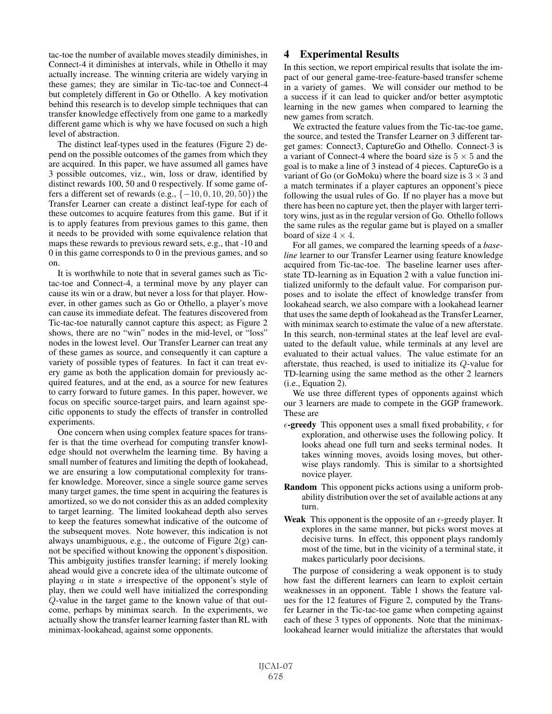tac-toe the number of available moves steadily diminishes, in Connect-4 it diminishes at intervals, while in Othello it may actually increase. The winning criteria are widely varying in these games; they are similar in Tic-tac-toe and Connect-4 but completely different in Go or Othello. A key motivation behind this research is to develop simple techniques that can transfer knowledge effectively from one game to a markedly different game which is why we have focused on such a high level of abstraction.

The distinct leaf-types used in the features (Figure 2) depend on the possible outcomes of the games from which they are acquired. In this paper, we have assumed all games have 3 possible outcomes, viz., win, loss or draw, identified by distinct rewards 100, 50 and 0 respectively. If some game offers a different set of rewards (e.g.,  $\{-10, 0, 10, 20, 50\}$ ) the Transfer Learner can create a distinct leaf-type for each of these outcomes to acquire features from this game. But if it is to apply features from previous games to this game, then it needs to be provided with some equivalence relation that maps these rewards to previous reward sets, e.g., that -10 and 0 in this game corresponds to 0 in the previous games, and so on.

It is worthwhile to note that in several games such as Tictac-toe and Connect-4, a terminal move by any player can cause its win or a draw, but never a loss for that player. However, in other games such as Go or Othello, a player's move can cause its immediate defeat. The features discovered from Tic-tac-toe naturally cannot capture this aspect; as Figure 2 shows, there are no "win" nodes in the mid-level, or "loss" nodes in the lowest level. Our Transfer Learner can treat any of these games as source, and consequently it can capture a variety of possible types of features. In fact it can treat every game as both the application domain for previously acquired features, and at the end, as a source for new features to carry forward to future games. In this paper, however, we focus on specific source-target pairs, and learn against specific opponents to study the effects of transfer in controlled experiments.

One concern when using complex feature spaces for transfer is that the time overhead for computing transfer knowledge should not overwhelm the learning time. By having a small number of features and limiting the depth of lookahead, we are ensuring a low computational complexity for transfer knowledge. Moreover, since a single source game serves many target games, the time spent in acquiring the features is amortized, so we do not consider this as an added complexity to target learning. The limited lookahead depth also serves to keep the features somewhat indicative of the outcome of the subsequent moves. Note however, this indication is not always unambiguous, e.g., the outcome of Figure 2(g) cannot be specified without knowing the opponent's disposition. This ambiguity justifies transfer learning; if merely looking ahead would give a concrete idea of the ultimate outcome of playing  $\alpha$  in state  $s$  irrespective of the opponent's style of play, then we could well have initialized the corresponding Q-value in the target game to the known value of that outcome, perhaps by minimax search. In the experiments, we actually show the transfer learner learning faster than RL with minimax-lookahead, against some opponents.

## 4 Experimental Results

In this section, we report empirical results that isolate the impact of our general game-tree-feature-based transfer scheme in a variety of games. We will consider our method to be a success if it can lead to quicker and/or better asymptotic learning in the new games when compared to learning the new games from scratch.

We extracted the feature values from the Tic-tac-toe game, the source, and tested the Transfer Learner on 3 different target games: Connect3, CaptureGo and Othello. Connect-3 is a variant of Connect-4 where the board size is  $5 \times 5$  and the goal is to make a line of 3 instead of 4 pieces. CaptureGo is a variant of Go (or GoMoku) where the board size is  $3 \times 3$  and a match terminates if a player captures an opponent's piece following the usual rules of Go. If no player has a move but there has been no capture yet, then the player with larger territory wins, just as in the regular version of Go. Othello follows the same rules as the regular game but is played on a smaller board of size  $4 \times 4$ .

For all games, we compared the learning speeds of a *baseline* learner to our Transfer Learner using feature knowledge acquired from Tic-tac-toe. The baseline learner uses afterstate TD-learning as in Equation 2 with a value function initialized uniformly to the default value. For comparison purposes and to isolate the effect of knowledge transfer from lookahead search, we also compare with a lookahead learner that uses the same depth of lookahead as the Transfer Learner, with minimax search to estimate the value of a new afterstate. In this search, non-terminal states at the leaf level are evaluated to the default value, while terminals at any level are evaluated to their actual values. The value estimate for an afterstate, thus reached, is used to initialize its Q-value for TD-learning using the same method as the other 2 learners (i.e., Equation 2).

We use three different types of opponents against which our 3 learners are made to compete in the GGP framework. These are

- $\epsilon$ -greedy This opponent uses a small fixed probability,  $\epsilon$  for exploration, and otherwise uses the following policy. It looks ahead one full turn and seeks terminal nodes. It takes winning moves, avoids losing moves, but otherwise plays randomly. This is similar to a shortsighted novice player.
- Random This opponent picks actions using a uniform probability distribution over the set of available actions at any turn.
- Weak This opponent is the opposite of an  $\epsilon$ -greedy player. It explores in the same manner, but picks worst moves at decisive turns. In effect, this opponent plays randomly most of the time, but in the vicinity of a terminal state, it makes particularly poor decisions.

The purpose of considering a weak opponent is to study how fast the different learners can learn to exploit certain weaknesses in an opponent. Table 1 shows the feature values for the 12 features of Figure 2, computed by the Transfer Learner in the Tic-tac-toe game when competing against each of these 3 types of opponents. Note that the minimaxlookahead learner would initialize the afterstates that would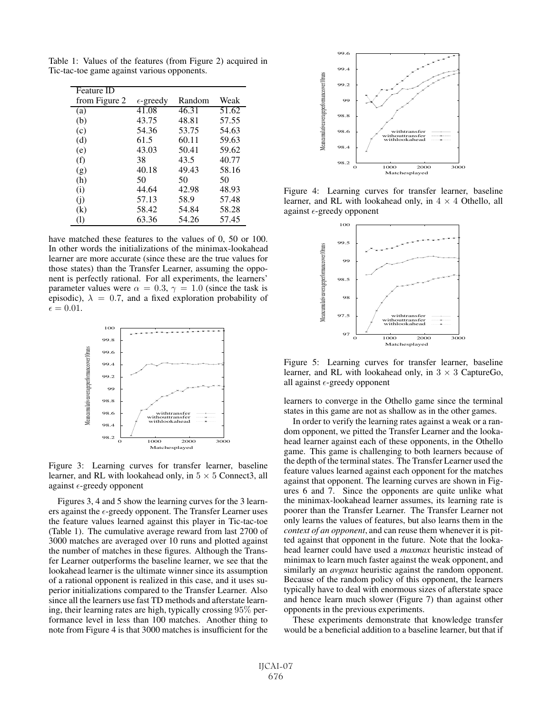| Feature ID        |                    |        |       |
|-------------------|--------------------|--------|-------|
| from Figure 2     | $\epsilon$ -greedy | Random | Weak  |
| (a)               | 41.08              | 46.31  | 51.62 |
| (b)               | 43.75              | 48.81  | 57.55 |
| (c)               | 54.36              | 53.75  | 54.63 |
| (d)               | 61.5               | 60.11  | 59.63 |
| (e)               | 43.03              | 50.41  | 59.62 |
| (f)               | 38                 | 43.5   | 40.77 |
| (g)               | 40.18              | 49.43  | 58.16 |
| (h)               | 50                 | 50     | 50    |
| (i)               | 44.64              | 42.98  | 48.93 |
| (i)               | 57.13              | 58.9   | 57.48 |
| $\left( k\right)$ | 58.42              | 54.84  | 58.28 |
| (1)               | 63.36              | 54.26  | 57.45 |

Table 1: Values of the features (from Figure 2) acquired in Tic-tac-toe game against various opponents.

have matched these features to the values of 0, 50 or 100. In other words the initializations of the minimax-lookahead learner are more accurate (since these are the true values for those states) than the Transfer Learner, assuming the opponent is perfectly rational. For all experiments, the learners' parameter values were  $\alpha = 0.3$ ,  $\gamma = 1.0$  (since the task is episodic),  $\lambda = 0.7$ , and a fixed exploration probability of  $\epsilon = 0.01.$ 



Figure 3: Learning curves for transfer learner, baseline learner, and RL with lookahead only, in  $5 \times 5$  Connect3, all against  $\epsilon$ -greedy opponent

Figures 3, 4 and 5 show the learning curves for the 3 learners against the  $\epsilon$ -greedy opponent. The Transfer Learner uses the feature values learned against this player in Tic-tac-toe (Table 1). The cumulative average reward from last 2700 of 3000 matches are averaged over 10 runs and plotted against the number of matches in these figures. Although the Transfer Learner outperforms the baseline learner, we see that the lookahead learner is the ultimate winner since its assumption of a rational opponent is realized in this case, and it uses superior initializations compared to the Transfer Learner. Also since all the learners use fast TD methods and afterstate learning, their learning rates are high, typically crossing 95% performance level in less than 100 matches. Another thing to note from Figure 4 is that 3000 matches is insufficient for the



Figure 4: Learning curves for transfer learner, baseline learner, and RL with lookahead only, in  $4 \times 4$  Othello, all against  $\epsilon$ -greedy opponent



Figure 5: Learning curves for transfer learner, baseline learner, and RL with lookahead only, in  $3 \times 3$  CaptureGo, all against  $\epsilon$ -greedy opponent

learners to converge in the Othello game since the terminal states in this game are not as shallow as in the other games.

In order to verify the learning rates against a weak or a random opponent, we pitted the Transfer Learner and the lookahead learner against each of these opponents, in the Othello game. This game is challenging to both learners because of the depth of the terminal states. The Transfer Learner used the feature values learned against each opponent for the matches against that opponent. The learning curves are shown in Figures 6 and 7. Since the opponents are quite unlike what the minimax-lookahead learner assumes, its learning rate is poorer than the Transfer Learner. The Transfer Learner not only learns the values of features, but also learns them in the *context of an opponent*, and can reuse them whenever it is pitted against that opponent in the future. Note that the lookahead learner could have used a *maxmax* heuristic instead of minimax to learn much faster against the weak opponent, and similarly an *avgmax* heuristic against the random opponent. Because of the random policy of this opponent, the learners typically have to deal with enormous sizes of afterstate space and hence learn much slower (Figure 7) than against other opponents in the previous experiments.

These experiments demonstrate that knowledge transfer would be a beneficial addition to a baseline learner, but that if